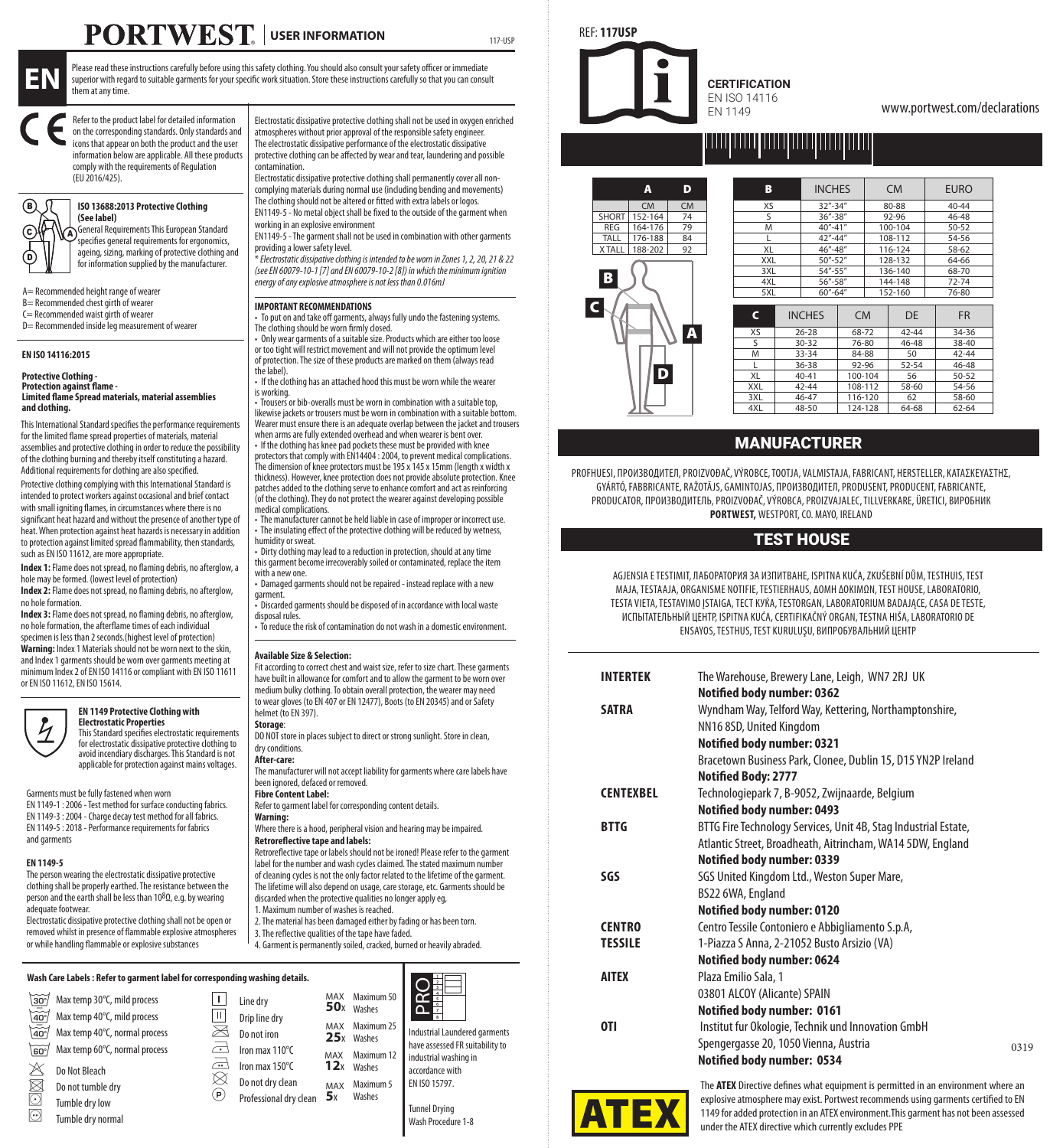# **PORTWEST** USER INFORMATION



Please read these instructions carefully before using this safety clothing. You should also consult your safety officer or immediate superior with regard to suitable garments for your specific work situation. Store these instructions carefully so that you can consult them at any time.

Refer to the product label for detailed information<br>on the corresponding standards. Only standards and icons that appear on both the product and the user icons that appear on both the product and the user information below are applicable. All these products comply with the requirements of Regulation (EU 2016/425).

# **ISO 13688:2013 Protective Clothing**

**(See label)** ents This European Standard specifies general requirements for ergonomics, ageing, sizing, marking of protective clothing and for information supplied by the manufacturer.

A= Recommended height range of wearer

B= Recommended chest girth of wearer

- $C =$  Recommended waist girth of weare D= Recommended inside leg measurement of wearer
- 

# **EN ISO 14116:2015**

YY IVA B

D

#### **Protective Clothing - Protection against flame Limited flame Spread materials, material assemblies and clothing.**

This International Standard specifies the performance requirements for the limited flame spread properties of materials, material assemblies and protective clothing in order to reduce the possibility of the clothing burning and thereby itself constituting a hazard. Additional requirements for clothing are also specified.

Protective clothing complying with this International Standard is intended to protect workers against occasional and brief contact with small igniting flames, in circumstances where there is no significant heat hazard and without the presence of another type of heat. When protection against heat hazards is necessary in addition to protection against limited spread flammability, then standards, such as EN ISO 11612, are more appropriate.

**Index 1:** Flame does not spread, no flaming debris, no afterglow, a hole may be formed. (lowest level of protection) **Index 2:** Flame does not spread, no flaming debris, no afterglow,

no hole formation. **Index 3:** Flame does not spread, no flaming debris, no afterglow,

no hole formation, the afterflame times of each individual specimen is less than 2 seconds.(highest level of protection) **Warning:** Index 1 Materials should not be worn next to the skin,

and Index 1 garments should be worn over garments meeting at minimum Index 2 of EN ISO 14116 or compliant with EN ISO 11611 or EN ISO 11612, EN ISO 15614.



**EN 1149 Protective Clothing with Electrostatic Properties** This Standard specifies electrostatic requirements

for electrostatic dissipative protective clothing to avoid incendiary discharges. This Standard is not applicable for protection against mains voltages.

Garments must be fully fastened when worn EN 1149-1 : 2006 - Test method for surface conducting fabrics. EN 1149-3 : 2004 - Charge decay test method for all fabrics. EN 1149-5 : 2018 - Performance requirements for fabrics and garments

### **EN 1149-5**

The person wearing the electrostatic dissipative protective clothing shall be properly earthed. The resistance between the person and the earth shall be less than 108Ω, e.g. by wearing adequate footwear.

Electrostatic dissipative protective clothing shall not be open or removed whilst in presence of flammable explosive atmospheres or while handling flammable or explosive substances

Electrostatic dissipative protective clothing shall not be used in oxygen enriched atmospheres without prior approval of the responsible safety engine The electrostatic dissipative performance of the electrostatic dissipative protective clothing can be affected by wear and tear, laundering and possible contamination.

117-USP

Electrostatic dissipative protective clothing shall permanently cover all noncomplying materials during normal use (including bending and movements) The clothing should not be altered or fitted with extra labels or logos.

EN1149-5 - No metal object shall be fixed to the outside of the garment when working in an explosive environment

EN1149-5 - The garment shall not be used in combination with other garments providing a lower safety level.

\* *Electrostatic dissipative clothing is intended to be worn in Zones 1, 2, 20, 21 & 22 (see EN 60079-10-1 [7] and EN 60079-10-2 [8]) in which the minimum ignition energy of any explosive atmosphere is not less than 0.016mJ*

## **IMPORTANT RECOMMENDATIONS**

• To put on and take off garments, always fully undo the fastening systems. The clothing should be worn firmly closed.

• Only wear garments of a suitable size. Products which are either too loose or too tight will restrict movement and will not provide the optimum level of protection. The size of these products are marked on them (always read the label).

• If the clothing has an attached hood this must be worn while the wearer

is working. • Trousers or bib-overalls must be worn in combination with a suitable top, likewise jackets or trousers must be worn in combination with a suitable bottom. Wearer must ensure there is an adequate overlap between the jacket and trousers when arms are fully extended overhead and when wearer is bent over.

• If the clothing has knee pad pockets these must be provided with knee protectors that comply with EN14404 : 2004, to prevent medical complication The dimension of knee protectors must be 195 x 145 x 15mm (length x width x thickness). However, knee protection does not provide absolute protection. Knee patches added to the clothing serve to enhance comfort and act as reinforcing (of the clothing). They do not protect the wearer against developing possible medical complications.

• The manufacturer cannot be held liable in case of improper or incorrect use. • The insulating effect of the protective clothing will be reduced by wetness, humidity or sweat.

• Dirty clothing may lead to a reduction in protection, should at any time this garment become irrecoverably soiled or contaminated, replace the item with a new one.

• Damaged garments should not be repaired - instead replace with a new garment.

• Discarded garments should be disposed of in accordance with local waste disposal rules. • To reduce the risk of contamination do not wash in a domestic environment.

# **Available Size & Selection:**

Fit according to correct chest and waist size, refer to size chart. These garments have built in allowance for comfort and to allow the garment to be worn over medium bulky clothing. To obtain overall protection, the wearer may need to wear gloves (to EN 407 or EN 12477), Boots (to EN 20345) and or Safety helmet (to EN 397). **Storage**:

DO NOT store in places subject to direct or strong sunlight. Store in clean, dry conditions

**After-care:**

The manufacturer will not accept liability for garments where care labels have been ignored, defaced or removed. **Fibre Content Label:**

Refer to garment label for corresponding content details. **Warning:**

Where there is a hood, peripheral vision and hearing may be impaired. **Retroreflective tape and labels:**

Retroreflective tape or labels should not be ironed! Please refer to the garment label for the number and wash cycles claimed. The stated maximum number of cleaning cycles is not the only factor related to the lifetime of the garment. The lifetime will also depend on usage, care storage, etc. Garments should be discarded when the protective qualities no longer apply eg,

1. Maximum number of washes is reached. 2. The material has been damaged either by fading or has been torn.

3. The reflective qualities of the tape have faded. 4. Garment is permanently soiled, cracked, burned or heavily abraded.

|                                | Wash Care Labels: Refer to garment label for corresponding washing details. |    |                           |            |                      |                                                          |
|--------------------------------|-----------------------------------------------------------------------------|----|---------------------------|------------|----------------------|----------------------------------------------------------|
| $30^{\circ}$<br>$\frac{1}{40}$ | Max temp 30°C, mild process<br>Max temp 40°C, mild process                  | 피  | Line dry<br>Drip line drv | MAX<br>50x | Maximum 50<br>Washes |                                                          |
| $\sqrt{40^{\circ}}$            | Max temp 40°C, normal process                                               | ⊠  | Do not iron               | MAX<br>25x | Maximum 25<br>Washes | Industrial Laundered garments                            |
| 60                             | Max temp 60°C, normal process                                               | a  | Iron max 110°C            | MAX        | Maximum 12           | have assessed FR suitability to<br>industrial washing in |
| $\rtimes$                      | Do Not Bleach                                                               | a  | Iron max 150°C            | 12x        | Washes               | accordance with                                          |
|                                | Do not tumble drv                                                           | ⊠  | Do not dry clean          | MAX        | Maximum 5            | EN ISO 15797.                                            |
| 8                              | Tumble dry low                                                              | P) | Professional drv clean    | 5x         | Washes               | <b>Tunnel Drving</b>                                     |
| $\odot$                        | Tumble drv normal                                                           |    |                           |            |                      | Wash Procedure 1-8                                       |

REF: **117USP**

**CERTIFICATION** EN ISO 14116 EN 1149

www.portwest.com/declarations

# <u>pour pour pour pour pour pour</u>



| в   | <b>INCHES</b>     |           |         | <b>CM</b> | <b>FURO</b> |  |
|-----|-------------------|-----------|---------|-----------|-------------|--|
| XS  | $32 - 34$         |           |         | 80-88     | $40 - 44$   |  |
| 5   | 36"-38"           |           |         | 92-96     | 46-48       |  |
| M   | 40"-41"           |           |         | 100-104   | 50-52       |  |
| г   | $42^{\circ}$ -44" |           |         | 108-112   | 54-56       |  |
| XL  | 46"-48"           |           |         | 116-124   | $58 - 62$   |  |
| XXL | $50 - 52$         |           |         | 128-132   | 64-66       |  |
| 3XL | 54"-55"           |           |         | 136-140   | 68-70       |  |
| 4XL | 56"-58"           |           |         | 144-148   | $72 - 74$   |  |
| 5XL | $60 - 64$         |           | 152-160 |           | 76-80       |  |
| c   | <b>INCHES</b>     | <b>CM</b> |         |           |             |  |
|     |                   |           |         | DF        | <b>FR</b>   |  |
| XS  | $26 - 28$         | $68 - 72$ |         | $42 - 44$ | 34-36       |  |
| S   | 30-32             | 76-80     |         | $46 - 48$ | 38-40       |  |
| M   | 33-34             | 84-88     |         | 50        | $47 - 44$   |  |
| L   | $36 - 38$         | 92-96     |         | 52-54     | 46-48       |  |
| XI  | $40 - 41$         | 100-104   |         | 56        | 50-52       |  |
| XXL | $42 - 44$         |           | 108-112 | 58-60     | 54-56       |  |
| 3XL | $46 - 47$         | 116-120   |         | 62        | 58-60       |  |

# MANUFACTURER GYÁRTÓ, FABRICANTE, RAŽOTÁJS, GAMINTOJAS, GAMINTOJAS, PRODUCENT, PRODUCENT, PRODUCENT, PRODUCENT,

.<br>PROFHUESI, ΠΡΟΜ3ΒΟДИТЕЛ, PROIZVOĐAČ, VÝROBCE, TOOTJA, VALMISTAJA, FABRICANT, HERSTELLER, ΚΑΤΑΣΚΕΥΑΣΤΗΣ, UESI, IIPUN*S*BUJINIEJI, PRUIZVOĐAC, VYRUBCE, IOUIJA, VALMISIAJA, FABRICANI, HERSIELLER, KAIAZKET/<br>GYÁRTÓ, FABBRICANTE, RAŽOTĀJS, GAMINTOJAS, IIPOVI3BOJINTEJ, PRODUSENT, PRODUCENT, FABRICANTE, PRODUCATOR, ПРОИЗВОДИТЕЛЬ, PROIZVOĐAČ, VÝROBCA, PROIZVAJALEC, TILLVERKARE, ÜRETICI, ВИРОБНИК **PORTWEST, WESTPORT, CO. MAYO, IRELAND** 

# TEST HOUSE

AGJENSIA E TESTIMIT, ЛАБОРАТОРИЯ ЗА ИЗПИТВАНЕ, ISPITNA KUĆA, ZKUŠEBNÍ DŮM, TESTHUIS, TEST AGJENSIA E TESTIMIT, ЛАБОРАТОРИЯ ЗА ИЗПИТВАНЕ, ISPITNA KUĆA, ZKUŠEBNÍ DŮM, TESTHUIS, TEST<br>MAJA, TESTAAJA, ORGANISME NOTIFIE, TESTIERHAUS, ΔOMH ΔOKIMΩN, TEST HOUSE, LABORATORIO, TESTA VIETA, TESTAVIMO ĮSTAIGA, ТЕСТ КУЌА, TESTORGAN, LABORATORIUM BADAJĄCE, CASA DE TESTE, SIA VIEIA, IESIAVIMO ĮSIAIGA, IECI KYKA, IESIOKGAN, LABOKAIOKIUM BADAJĄCE, CASA DE IESI<br>ИСПЫТАТЕЛЬНЫЙ ЦЕНТР, ISPITNA KUĆA, CERTIFIKAČNÝ ORGAN, TESTNA HIŠA, LABORATORIO DE ENSAYOS, TESTHUS, TEST KURULUŞU, ВИПРОБУВАЛЬНИЙ ЦЕНТР ENSAYOS, TESTHUS, TEST KURULUŞU, ВИПРОБУВАЛЬНИЙ ЦЕНТР

| <b>INTERTEK</b>  | The Warehouse, Brewery Lane, Leigh, WN7 2RJ UK                  |      |
|------------------|-----------------------------------------------------------------|------|
|                  | Notified body number: 0362                                      |      |
| <b>SATRA</b>     | Wyndham Way, Telford Way, Kettering, Northamptonshire,          |      |
|                  | NN16 8SD, United Kingdom                                        |      |
|                  | Notified body number: 0321                                      |      |
|                  | Bracetown Business Park, Clonee, Dublin 15, D15 YN2P Ireland    |      |
|                  | Notified Body: 2777                                             |      |
| <b>CENTEXBEL</b> | Technologiepark 7, B-9052, Zwijnaarde, Belgium                  |      |
|                  | Notified body number: 0493                                      |      |
| <b>BTTG</b>      | BTTG Fire Technology Services, Unit 4B, Stag Industrial Estate, |      |
|                  | Atlantic Street, Broadheath, Aitrincham, WA14 5DW, England      |      |
|                  | Notified body number: 0339                                      |      |
| SGS              | SGS United Kingdom Ltd., Weston Super Mare,                     |      |
|                  | BS22 6WA, England                                               |      |
|                  | Notified body number: 0120                                      |      |
| <b>CENTRO</b>    | Centro Tessile Contoniero e Abbigliamento S.p.A,                |      |
| <b>TESSILE</b>   | 1-Piazza S Anna, 2-21052 Busto Arsizio (VA)                     |      |
|                  | Notified body number: 0624                                      |      |
| <b>AITEX</b>     | Plaza Emilio Sala, 1                                            |      |
|                  | 03801 ALCOY (Alicante) SPAIN                                    |      |
|                  | Notified body number: 0161                                      |      |
| 0TI              | Institut fur Okologie, Technik und Innovation GmbH              |      |
|                  | Spengergasse 20, 1050 Vienna, Austria                           | 0319 |
|                  | Notified body number: 0534                                      |      |



The **ATEX** Directive defines what equipment is permitted in an environment where an explosive atmosphere may exist. Portwest recommends using garments certified to EN 1149 for added protection in an ATEX environment.This garment has not been assessed under the ATEX directive which currently excludes PPE